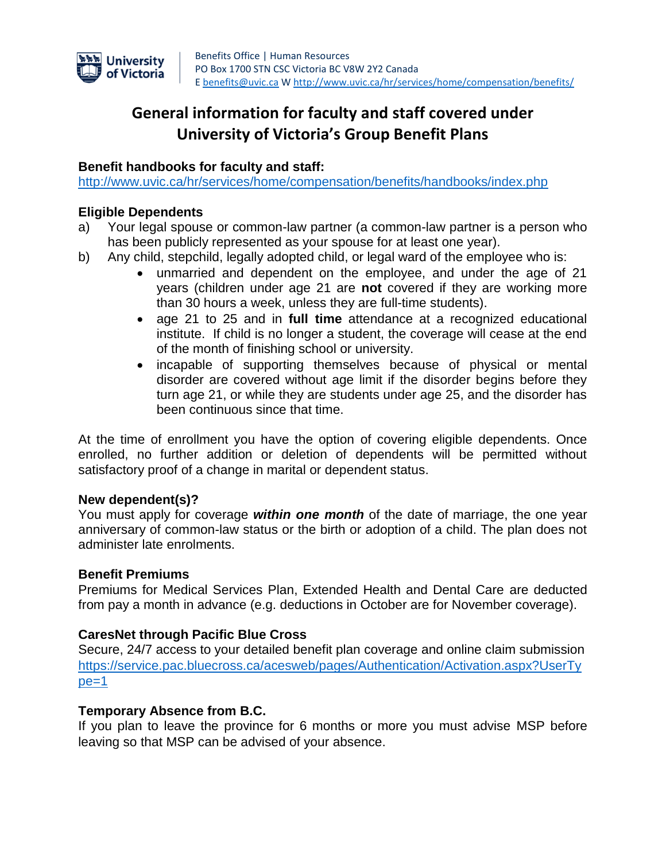

# **General information for faculty and staff covered under University of Victoria's Group Benefit Plans**

### **Benefit handbooks for faculty and staff:**

<http://www.uvic.ca/hr/services/home/compensation/benefits/handbooks/index.php>

#### **Eligible Dependents**

- a) Your legal spouse or common-law partner (a common-law partner is a person who has been publicly represented as your spouse for at least one year).
- b) Any child, stepchild, legally adopted child, or legal ward of the employee who is:
	- unmarried and dependent on the employee, and under the age of 21 years (children under age 21 are **not** covered if they are working more than 30 hours a week, unless they are full-time students).
	- age 21 to 25 and in **full time** attendance at a recognized educational institute. If child is no longer a student, the coverage will cease at the end of the month of finishing school or university.
	- incapable of supporting themselves because of physical or mental disorder are covered without age limit if the disorder begins before they turn age 21, or while they are students under age 25, and the disorder has been continuous since that time.

At the time of enrollment you have the option of covering eligible dependents. Once enrolled, no further addition or deletion of dependents will be permitted without satisfactory proof of a change in marital or dependent status.

#### **New dependent(s)?**

You must apply for coverage *within one month* of the date of marriage, the one year anniversary of common-law status or the birth or adoption of a child. The plan does not administer late enrolments.

#### **Benefit Premiums**

Premiums for Medical Services Plan, Extended Health and Dental Care are deducted from pay a month in advance (e.g. deductions in October are for November coverage).

#### **CaresNet through Pacific Blue Cross**

Secure, 24/7 access to your detailed benefit plan coverage and online claim submission [https://service.pac.bluecross.ca/acesweb/pages/Authentication/Activation.aspx?UserTy](https://service.pac.bluecross.ca/acesweb/pages/Authentication/Activation.aspx?UserType=1)  $pe=1$ 

#### **Temporary Absence from B.C.**

If you plan to leave the province for 6 months or more you must advise MSP before leaving so that MSP can be advised of your absence.